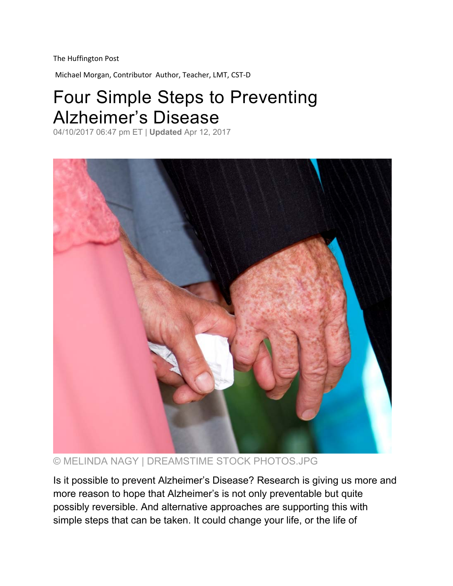The Huffington Post

Michael Morgan, Contributor Author, Teacher, LMT, CST‐D

## Four Simple Steps to Preventing Alzheimer's Disease

04/10/2017 06:47 pm ET | **Updated** Apr 12, 2017



© MELINDA NAGY | DREAMSTIME STOCK PHOTOS.JPG

Is it possible to prevent Alzheimer's Disease? Research is giving us more and more reason to hope that Alzheimer's is not only preventable but quite possibly reversible. And alternative approaches are supporting this with simple steps that can be taken. It could change your life, or the life of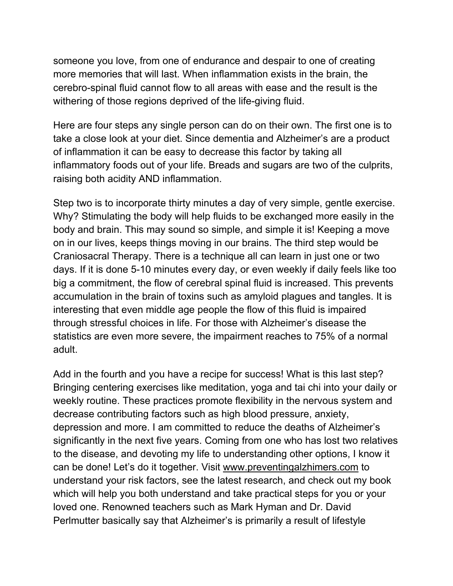someone you love, from one of endurance and despair to one of creating more memories that will last. When inflammation exists in the brain, the cerebro-spinal fluid cannot flow to all areas with ease and the result is the withering of those regions deprived of the life-giving fluid.

Here are four steps any single person can do on their own. The first one is to take a close look at your diet. Since dementia and Alzheimer's are a product of inflammation it can be easy to decrease this factor by taking all inflammatory foods out of your life. Breads and sugars are two of the culprits, raising both acidity AND inflammation.

Step two is to incorporate thirty minutes a day of very simple, gentle exercise. Why? Stimulating the body will help fluids to be exchanged more easily in the body and brain. This may sound so simple, and simple it is! Keeping a move on in our lives, keeps things moving in our brains. The third step would be Craniosacral Therapy. There is a technique all can learn in just one or two days. If it is done 5-10 minutes every day, or even weekly if daily feels like too big a commitment, the flow of cerebral spinal fluid is increased. This prevents accumulation in the brain of toxins such as amyloid plagues and tangles. It is interesting that even middle age people the flow of this fluid is impaired through stressful choices in life. For those with Alzheimer's disease the statistics are even more severe, the impairment reaches to 75% of a normal adult.

Add in the fourth and you have a recipe for success! What is this last step? Bringing centering exercises like meditation, yoga and tai chi into your daily or weekly routine. These practices promote flexibility in the nervous system and decrease contributing factors such as high blood pressure, anxiety, depression and more. I am committed to reduce the deaths of Alzheimer's significantly in the next five years. Coming from one who has lost two relatives to the disease, and devoting my life to understanding other options, I know it can be done! Let's do it together. Visit www.preventingalzhimers.com to understand your risk factors, see the latest research, and check out my book which will help you both understand and take practical steps for you or your loved one. Renowned teachers such as Mark Hyman and Dr. David Perlmutter basically say that Alzheimer's is primarily a result of lifestyle